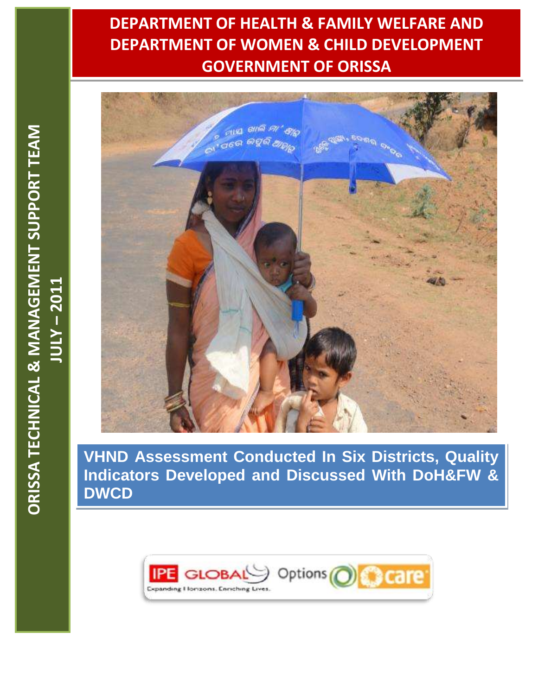# **DEPARTMENT OF HEALTH & FAMILY WELFARE AND DEPARTMENT OF WOMEN & CHILD DEVELOPMENT GOVERNMENT OF ORISSA**



**VHND Assessment Conducted In Six Districts, Quality Indicators Developed and Discussed With DoH&FW & DWCD**

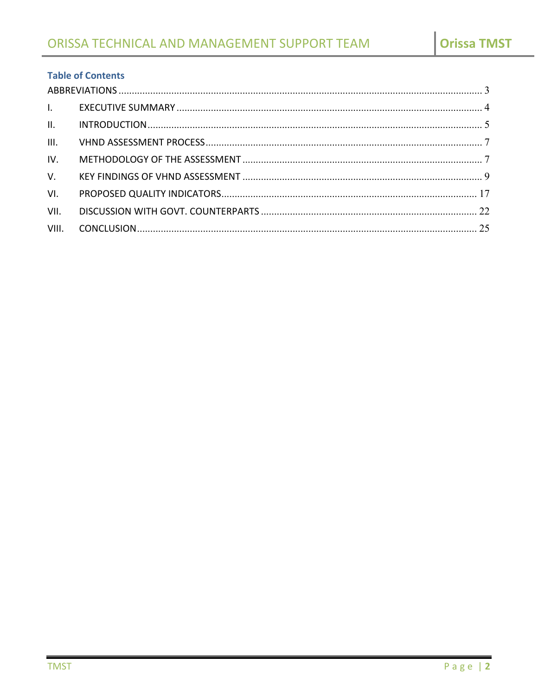# **Table of Contents**

| $\mathbf{L}$   |  |
|----------------|--|
| II.            |  |
| III.           |  |
| IV.            |  |
| V <sub>1</sub> |  |
| VI.            |  |
| VII.           |  |
| VIII.          |  |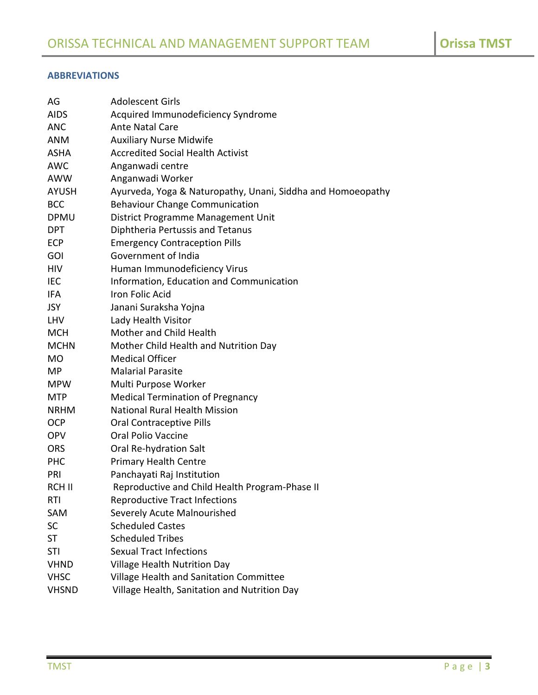# <span id="page-2-0"></span>**ABBREVIATIONS**

| AG           | <b>Adolescent Girls</b>                                     |
|--------------|-------------------------------------------------------------|
| <b>AIDS</b>  | Acquired Immunodeficiency Syndrome                          |
| <b>ANC</b>   | <b>Ante Natal Care</b>                                      |
| <b>ANM</b>   | <b>Auxiliary Nurse Midwife</b>                              |
| <b>ASHA</b>  | <b>Accredited Social Health Activist</b>                    |
| <b>AWC</b>   | Anganwadi centre                                            |
| AWW          | Anganwadi Worker                                            |
| <b>AYUSH</b> | Ayurveda, Yoga & Naturopathy, Unani, Siddha and Homoeopathy |
| <b>BCC</b>   | <b>Behaviour Change Communication</b>                       |
| <b>DPMU</b>  | District Programme Management Unit                          |
| <b>DPT</b>   | Diphtheria Pertussis and Tetanus                            |
| <b>ECP</b>   | <b>Emergency Contraception Pills</b>                        |
| <b>GOI</b>   | Government of India                                         |
| <b>HIV</b>   | Human Immunodeficiency Virus                                |
| <b>IEC</b>   | Information, Education and Communication                    |
| IFA          | Iron Folic Acid                                             |
| <b>JSY</b>   | Janani Suraksha Yojna                                       |
| <b>LHV</b>   | Lady Health Visitor                                         |
| <b>MCH</b>   | Mother and Child Health                                     |
| <b>MCHN</b>  | Mother Child Health and Nutrition Day                       |
| <b>MO</b>    | <b>Medical Officer</b>                                      |
| <b>MP</b>    | <b>Malarial Parasite</b>                                    |
| <b>MPW</b>   | Multi Purpose Worker                                        |
| <b>MTP</b>   | <b>Medical Termination of Pregnancy</b>                     |
| <b>NRHM</b>  | <b>National Rural Health Mission</b>                        |
| <b>OCP</b>   | <b>Oral Contraceptive Pills</b>                             |
| <b>OPV</b>   | <b>Oral Polio Vaccine</b>                                   |
| <b>ORS</b>   | Oral Re-hydration Salt                                      |
| <b>PHC</b>   | <b>Primary Health Centre</b>                                |
| PRI          | Panchayati Raj Institution                                  |
| RCH II       | Reproductive and Child Health Program-Phase II              |
| RTI          | <b>Reproductive Tract Infections</b>                        |
| SAM          | Severely Acute Malnourished                                 |
| <b>SC</b>    | <b>Scheduled Castes</b>                                     |
| <b>ST</b>    | <b>Scheduled Tribes</b>                                     |
| <b>STI</b>   | <b>Sexual Tract Infections</b>                              |
| <b>VHND</b>  | Village Health Nutrition Day                                |
| <b>VHSC</b>  | Village Health and Sanitation Committee                     |
| <b>VHSND</b> | Village Health, Sanitation and Nutrition Day                |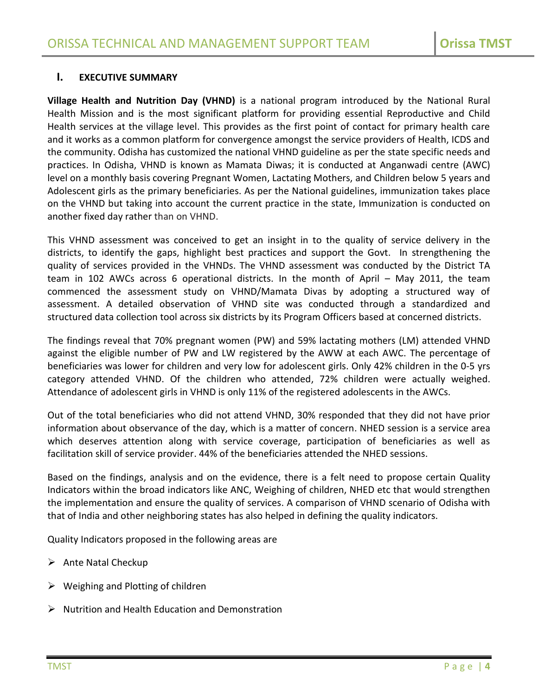# <span id="page-3-0"></span>**I. EXECUTIVE SUMMARY**

**Village Health and Nutrition Day (VHND)** is a national program introduced by the National Rural Health Mission and is the most significant platform for providing essential Reproductive and Child Health services at the village level. This provides as the first point of contact for primary health care and it works as a common platform for convergence amongst the service providers of Health, ICDS and the community. Odisha has customized the national VHND guideline as per the state specific needs and practices. In Odisha, VHND is known as Mamata Diwas; it is conducted at Anganwadi centre (AWC) level on a monthly basis covering Pregnant Women, Lactating Mothers, and Children below 5 years and Adolescent girls as the primary beneficiaries. As per the National guidelines, immunization takes place on the VHND but taking into account the current practice in the state, Immunization is conducted on another fixed day rather than on VHND.

This VHND assessment was conceived to get an insight in to the quality of service delivery in the districts, to identify the gaps, highlight best practices and support the Govt. In strengthening the quality of services provided in the VHNDs. The VHND assessment was conducted by the District TA team in 102 AWCs across 6 operational districts. In the month of April – May 2011, the team commenced the assessment study on VHND/Mamata Divas by adopting a structured way of assessment. A detailed observation of VHND site was conducted through a standardized and structured data collection tool across six districts by its Program Officers based at concerned districts.

The findings reveal that 70% pregnant women (PW) and 59% lactating mothers (LM) attended VHND against the eligible number of PW and LW registered by the AWW at each AWC. The percentage of beneficiaries was lower for children and very low for adolescent girls. Only 42% children in the 0-5 yrs category attended VHND. Of the children who attended, 72% children were actually weighed. Attendance of adolescent girls in VHND is only 11% of the registered adolescents in the AWCs.

Out of the total beneficiaries who did not attend VHND, 30% responded that they did not have prior information about observance of the day, which is a matter of concern. NHED session is a service area which deserves attention along with service coverage, participation of beneficiaries as well as facilitation skill of service provider. 44% of the beneficiaries attended the NHED sessions.

Based on the findings, analysis and on the evidence, there is a felt need to propose certain Quality Indicators within the broad indicators like ANC, Weighing of children, NHED etc that would strengthen the implementation and ensure the quality of services. A comparison of VHND scenario of Odisha with that of India and other neighboring states has also helped in defining the quality indicators.

Quality Indicators proposed in the following areas are

- $\triangleright$  Ante Natal Checkup
- $\triangleright$  Weighing and Plotting of children
- $\triangleright$  Nutrition and Health Education and Demonstration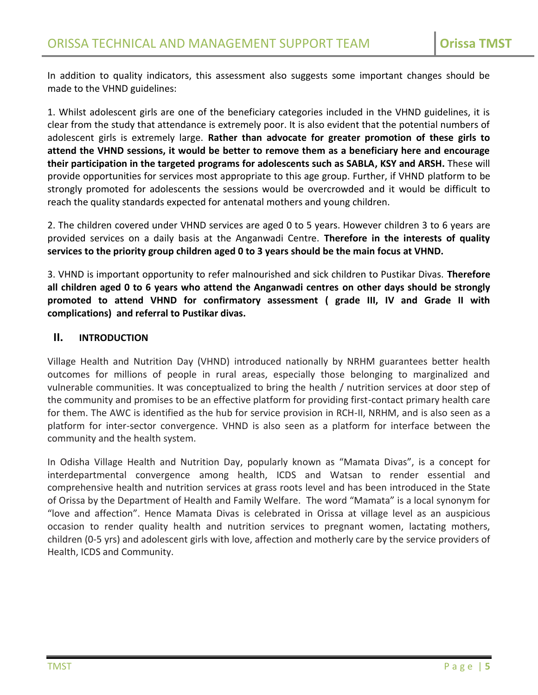In addition to quality indicators, this assessment also suggests some important changes should be made to the VHND guidelines:

1. Whilst adolescent girls are one of the beneficiary categories included in the VHND guidelines, it is clear from the study that attendance is extremely poor. It is also evident that the potential numbers of adolescent girls is extremely large. **Rather than advocate for greater promotion of these girls to attend the VHND sessions, it would be better to remove them as a beneficiary here and encourage their participation in the targeted programs for adolescents such as SABLA, KSY and ARSH.** These will provide opportunities for services most appropriate to this age group. Further, if VHND platform to be strongly promoted for adolescents the sessions would be overcrowded and it would be difficult to reach the quality standards expected for antenatal mothers and young children.

2. The children covered under VHND services are aged 0 to 5 years. However children 3 to 6 years are provided services on a daily basis at the Anganwadi Centre. **Therefore in the interests of quality services to the priority group children aged 0 to 3 years should be the main focus at VHND.** 

3. VHND is important opportunity to refer malnourished and sick children to Pustikar Divas. **Therefore all children aged 0 to 6 years who attend the Anganwadi centres on other days should be strongly promoted to attend VHND for confirmatory assessment ( grade III, IV and Grade II with complications) and referral to Pustikar divas.**

# <span id="page-4-0"></span>**II. INTRODUCTION**

Village Health and Nutrition Day (VHND) introduced nationally by NRHM guarantees better health outcomes for millions of people in rural areas, especially those belonging to marginalized and vulnerable communities. It was conceptualized to bring the health / nutrition services at door step of the community and promises to be an effective platform for providing first-contact primary health care for them. The AWC is identified as the hub for service provision in RCH-II, NRHM, and is also seen as a platform for inter-sector convergence. VHND is also seen as a platform for interface between the community and the health system.

In Odisha Village Health and Nutrition Day, popularly known as "Mamata Divas", is a concept for interdepartmental convergence among health, ICDS and Watsan to render essential and comprehensive health and nutrition services at grass roots level and has been introduced in the State of Orissa by the Department of Health and Family Welfare. The word "Mamata" is a local synonym for "love and affection". Hence Mamata Divas is celebrated in Orissa at village level as an auspicious occasion to render quality health and nutrition services to pregnant women, lactating mothers, children (0-5 yrs) and adolescent girls with love, affection and motherly care by the service providers of Health, ICDS and Community.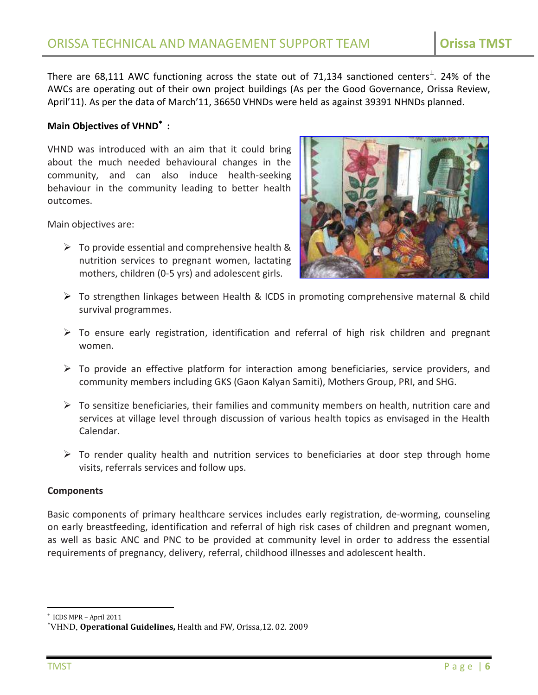There are 68,111 AWC functioning across the state out of 71,134 sanctioned centers<sup>±</sup>. 24% of the AWCs are operating out of their own project buildings (As per the Good Governance, Orissa Review, April'11). As per the data of March'11, 36650 VHNDs were held as against 39391 NHNDs planned.

# **Main Objectives of VHND :**

VHND was introduced with an aim that it could bring about the much needed behavioural changes in the community, and can also induce health-seeking behaviour in the community leading to better health outcomes.

Main objectives are:

 $\triangleright$  To provide essential and comprehensive health & nutrition services to pregnant women, lactating mothers, children (0-5 yrs) and adolescent girls.



- To strengthen linkages between Health & ICDS in promoting comprehensive maternal & child survival programmes.
- $\triangleright$  To ensure early registration, identification and referral of high risk children and pregnant women.
- $\triangleright$  To provide an effective platform for interaction among beneficiaries, service providers, and community members including GKS (Gaon Kalyan Samiti), Mothers Group, PRI, and SHG.
- $\triangleright$  To sensitize beneficiaries, their families and community members on health, nutrition care and services at village level through discussion of various health topics as envisaged in the Health Calendar.
- $\triangleright$  To render quality health and nutrition services to beneficiaries at door step through home visits, referrals services and follow ups.

#### **Components**

Basic components of primary healthcare services includes early registration, de-worming, counseling on early breastfeeding, identification and referral of high risk cases of children and pregnant women, as well as basic ANC and PNC to be provided at community level in order to address the essential requirements of pregnancy, delivery, referral, childhood illnesses and adolescent health.

 $<sup>±</sup>$  ICDS MPR – April 2011</sup>

VHND, **Operational Guidelines,** Health and FW, Orissa,12. 02. 2009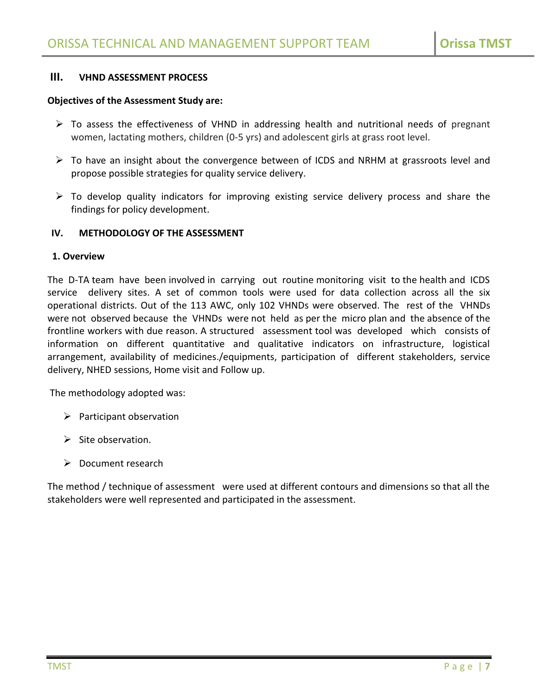# <span id="page-6-0"></span>**III. VHND ASSESSMENT PROCESS**

#### **Objectives of the Assessment Study are:**

- $\triangleright$  To assess the effectiveness of VHND in addressing health and nutritional needs of pregnant women, lactating mothers, children (0-5 yrs) and adolescent girls at grass root level.
- To have an insight about the convergence between of ICDS and NRHM at grassroots level and propose possible strategies for quality service delivery.
- $\triangleright$  To develop quality indicators for improving existing service delivery process and share the findings for policy development.

#### <span id="page-6-1"></span>**IV. METHODOLOGY OF THE ASSESSMENT**

#### **1. Overview**

The D-TA team have been involved in carrying out routine monitoring visit to the health and ICDS service delivery sites. A set of common tools were used for data collection across all the six operational districts. Out of the 113 AWC, only 102 VHNDs were observed. The rest of the VHNDs were not observed because the VHNDs were not held as per the micro plan and the absence of the frontline workers with due reason. A structured assessment tool was developed which consists of information on different quantitative and qualitative indicators on infrastructure, logistical arrangement, availability of medicines./equipments, participation of different stakeholders, service delivery, NHED sessions, Home visit and Follow up.

The methodology adopted was:

- $\triangleright$  Participant observation
- $\triangleright$  Site observation.
- $\triangleright$  Document research

The method / technique of assessment were used at different contours and dimensions so that all the stakeholders were well represented and participated in the assessment.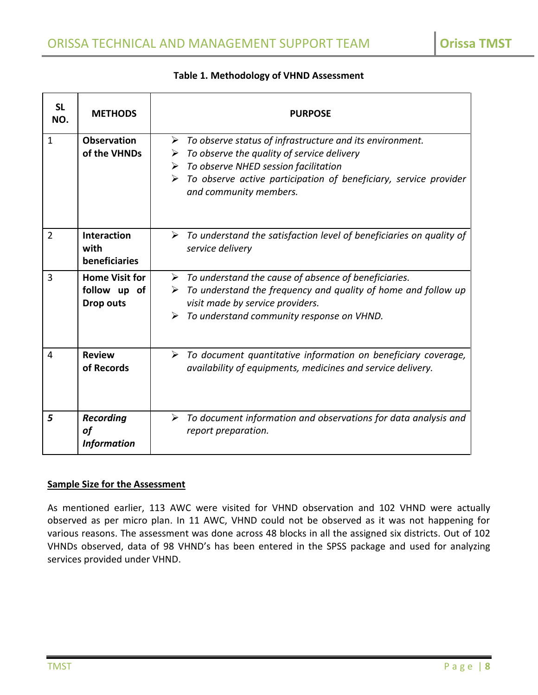| <b>SL</b><br>NO. | <b>METHODS</b>                                            | <b>PURPOSE</b>                                                                                                                                                                                                                                                                                                   |
|------------------|-----------------------------------------------------------|------------------------------------------------------------------------------------------------------------------------------------------------------------------------------------------------------------------------------------------------------------------------------------------------------------------|
| $\mathbf{1}$     | <b>Observation</b><br>of the VHNDs                        | $\triangleright$ To observe status of infrastructure and its environment.<br>$\triangleright$ To observe the quality of service delivery<br>$\triangleright$ To observe NHED session facilitation<br>$\triangleright$ To observe active participation of beneficiary, service provider<br>and community members. |
| 2                | <b>Interaction</b><br>with<br>beneficiaries               | $\triangleright$ To understand the satisfaction level of beneficiaries on quality of<br>service delivery                                                                                                                                                                                                         |
| 3                | <b>Home Visit for</b><br>follow up of<br><b>Drop outs</b> | $\triangleright$ To understand the cause of absence of beneficiaries.<br>$\triangleright$ To understand the frequency and quality of home and follow up<br>visit made by service providers.<br>$\triangleright$ To understand community response on VHND.                                                        |
| 4                | <b>Review</b><br>of Records                               | $\triangleright$ To document quantitative information on beneficiary coverage,<br>availability of equipments, medicines and service delivery.                                                                                                                                                                    |
| 5                | <b>Recording</b><br>of<br><b>Information</b>              | $\triangleright$ To document information and observations for data analysis and<br>report preparation.                                                                                                                                                                                                           |

# **Table 1. Methodology of VHND Assessment**

# **Sample Size for the Assessment**

As mentioned earlier, 113 AWC were visited for VHND observation and 102 VHND were actually observed as per micro plan. In 11 AWC, VHND could not be observed as it was not happening for various reasons. The assessment was done across 48 blocks in all the assigned six districts. Out of 102 VHNDs observed, data of 98 VHND's has been entered in the SPSS package and used for analyzing services provided under VHND.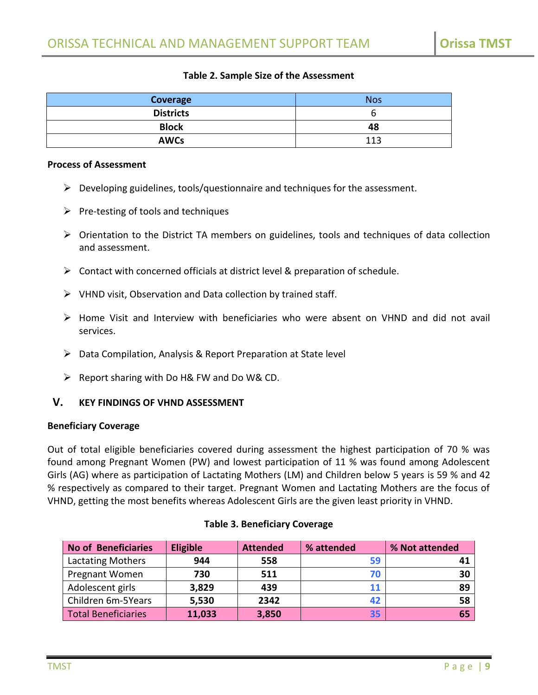## **Table 2. Sample Size of the Assessment**

| Coverage         | <b>Nos</b> |
|------------------|------------|
| <b>Districts</b> |            |
| <b>Block</b>     | 48         |
| <b>AWCs</b>      | 113        |

#### **Process of Assessment**

- $\triangleright$  Developing guidelines, tools/questionnaire and techniques for the assessment.
- $\triangleright$  Pre-testing of tools and techniques
- $\triangleright$  Orientation to the District TA members on guidelines, tools and techniques of data collection and assessment.
- $\triangleright$  Contact with concerned officials at district level & preparation of schedule.
- $\triangleright$  VHND visit, Observation and Data collection by trained staff.
- Home Visit and Interview with beneficiaries who were absent on VHND and did not avail services.
- $\triangleright$  Data Compilation, Analysis & Report Preparation at State level
- $\triangleright$  Report sharing with Do H& FW and Do W& CD.

#### <span id="page-8-0"></span>**V. KEY FINDINGS OF VHND ASSESSMENT**

#### **Beneficiary Coverage**

Out of total eligible beneficiaries covered during assessment the highest participation of 70 % was found among Pregnant Women (PW) and lowest participation of 11 % was found among Adolescent Girls (AG) where as participation of Lactating Mothers (LM) and Children below 5 years is 59 % and 42 % respectively as compared to their target. Pregnant Women and Lactating Mothers are the focus of VHND, getting the most benefits whereas Adolescent Girls are the given least priority in VHND.

| <b>No of Beneficiaries</b> | <b>Eligible</b> | <b>Attended</b> | % attended | % Not attended |
|----------------------------|-----------------|-----------------|------------|----------------|
| <b>Lactating Mothers</b>   | 944             | 558             | 59         | 41             |
| Pregnant Women             | 730             | 511             | 70         | 30             |
| Adolescent girls           | 3,829           | 439             | 11         | 89             |
| Children 6m-5Years         | 5,530           | 2342            | 42         | 58             |
| <b>Total Beneficiaries</b> | 11,033          | 3,850           | 35         | 65             |

#### **Table 3. Beneficiary Coverage**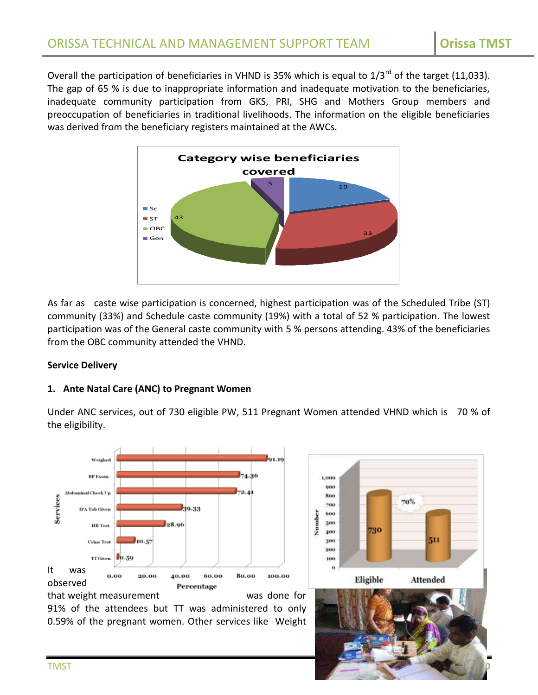Overall the participation of beneficiaries in VHND is 35% which is equal to  $1/3^{rd}$  of the target (11,033). The gap of 65 % is due to inappropriate information and inadequate motivation to the beneficiaries, inadequate community participation from GKS, PRI, SHG and Mothers Group members and preoccupation of beneficiaries in traditional livelihoods. The information on the eligible beneficiaries was derived from the beneficiary registers maintained at the AWCs.



As far as caste wise participation is concerned, highest participation was of the Scheduled Tribe (ST) community (33%) and Schedule caste community (19%) with a total of 52 % participation. The lowest participation was of the General caste community with 5 % persons attending. 43% of the beneficiaries from the OBC community attended the VHND.

# **Service Delivery**

# **1. Ante Natal Care (ANC) to Pregnant Women**

Under ANC services, out of 730 eligible PW, 511 Pregnant Women attended VHND which is 70 % of the eligibility.

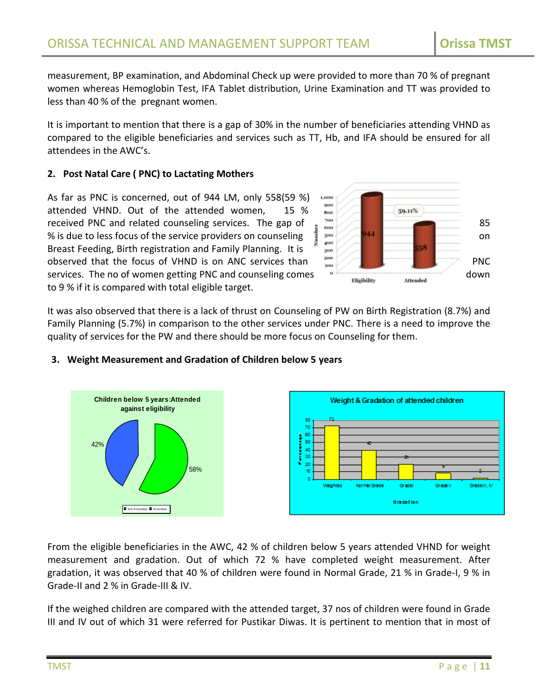measurement, BP examination, and Abdominal Check up were provided to more than 70 % of pregnant women whereas Hemoglobin Test, IFA Tablet distribution, Urine Examination and TT was provided to less than 40 % of the pregnant women.

It is important to mention that there is a gap of 30% in the number of beneficiaries attending VHND as compared to the eligible beneficiaries and services such as TT, Hb, and IFA should be ensured for all attendees in the AWC's.

# **2. Post Natal Care ( PNC) to Lactating Mothers**

As far as PNC is concerned, out of 944 LM, only 558(59 %) attended VHND. Out of the attended women, 15 % received PNC and related counseling services. The gap of  $\frac{1}{2}$   $\frac{700}{400}$   $\frac{350}{400}$   $\frac{944}{400}$   $\frac{944}{400}$   $\frac{944}{400}$   $\frac{944}{400}$   $\frac{944}{400}$   $\frac{944}{400}$   $\frac{944}{400}$   $\frac{944}{400}$   $\frac{944}{400}$  % is due to less focus of the service providers on counseling  $\frac{1}{2}$  see  $\frac{1}{400}$ Breast Feeding, Birth registration and Family Planning. It is observed that the focus of VHND is on ANC services than  $\frac{200}{100}$ services. The no of women getting PNC and counseling comes down to 9 % if it is compared with total eligible target.



It was also observed that there is a lack of thrust on Counseling of PW on Birth Registration (8.7%) and Family Planning (5.7%) in comparison to the other services under PNC. There is a need to improve the quality of services for the PW and there should be more focus on Counseling for them.



# **3. Weight Measurement and Gradation of Children below 5 years**

From the eligible beneficiaries in the AWC, 42 % of children below 5 years attended VHND for weight measurement and gradation. Out of which 72 % have completed weight measurement. After gradation, it was observed that 40 % of children were found in Normal Grade, 21 % in Grade-I, 9 % in Grade-II and 2 % in Grade-III & IV.

If the weighed children are compared with the attended target, 37 nos of children were found in Grade III and IV out of which 31 were referred for Pustikar Diwas. It is pertinent to mention that in most of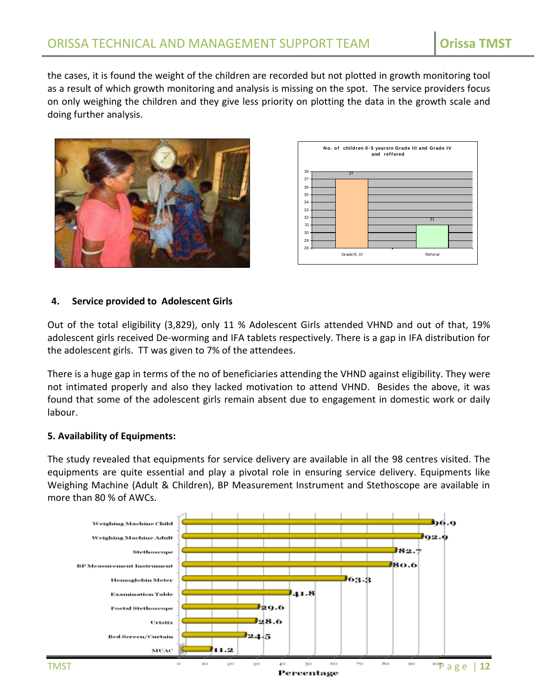the cases, it is found the weight of the children are recorded but not plotted in growth monitoring tool as a result of which growth monitoring and analysis is missing on the spot. The service providers focus on only weighing the children and they give less priority on plotting the data in the growth scale and doing further analysis.





## **4. Service provided to Adolescent Girls**

Out of the total eligibility (3,829), only 11 % Adolescent Girls attended VHND and out of that, 19% adolescent girls received De-worming and IFA tablets respectively. There is a gap in IFA distribution for the adolescent girls. TT was given to 7% of the attendees.

There is a huge gap in terms of the no of beneficiaries attending the VHND against eligibility. They were not intimated properly and also they lacked motivation to attend VHND. Besides the above, it was found that some of the adolescent girls remain absent due to engagement in domestic work or daily labour.

#### **5. Availability of Equipments:**

The study revealed that equipments for service delivery are available in all the 98 centres visited. The equipments are quite essential and play a pivotal role in ensuring service delivery. Equipments like Weighing Machine (Adult & Children), BP Measurement Instrument and Stethoscope are available in more than 80 % of AWCs.

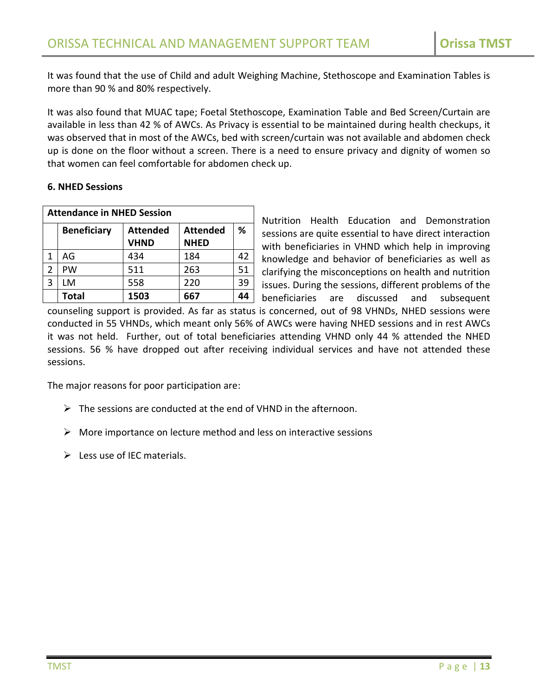It was found that the use of Child and adult Weighing Machine, Stethoscope and Examination Tables is more than 90 % and 80% respectively.

It was also found that MUAC tape; Foetal Stethoscope, Examination Table and Bed Screen/Curtain are available in less than 42 % of AWCs. As Privacy is essential to be maintained during health checkups, it was observed that in most of the AWCs, bed with screen/curtain was not available and abdomen check up is done on the floor without a screen. There is a need to ensure privacy and dignity of women so that women can feel comfortable for abdomen check up.

# **6. NHED Sessions**

|   | <b>Attendance in NHED Session</b> |                                |                                |    |  |
|---|-----------------------------------|--------------------------------|--------------------------------|----|--|
|   | <b>Beneficiary</b>                | <b>Attended</b><br><b>VHND</b> | <b>Attended</b><br><b>NHED</b> | %  |  |
| 1 | AG                                | 434                            | 184                            | 42 |  |
| 2 | PW                                | 511                            | 263                            | 51 |  |
| 3 | LM                                | 558                            | 220                            | 39 |  |
|   | <b>Total</b>                      | 1503                           | 667                            | 44 |  |

Nutrition Health Education and Demonstration sessions are quite essential to have direct interaction with beneficiaries in VHND which help in improving knowledge and behavior of beneficiaries as well as clarifying the misconceptions on health and nutrition issues. During the sessions, different problems of the beneficiaries are discussed and subsequent

counseling support is provided. As far as status is concerned, out of 98 VHNDs, NHED sessions were conducted in 55 VHNDs, which meant only 56% of AWCs were having NHED sessions and in rest AWCs it was not held. Further, out of total beneficiaries attending VHND only 44 % attended the NHED sessions. 56 % have dropped out after receiving individual services and have not attended these sessions.

The major reasons for poor participation are:

- $\triangleright$  The sessions are conducted at the end of VHND in the afternoon.
- $\triangleright$  More importance on lecture method and less on interactive sessions
- $\triangleright$  Less use of IEC materials.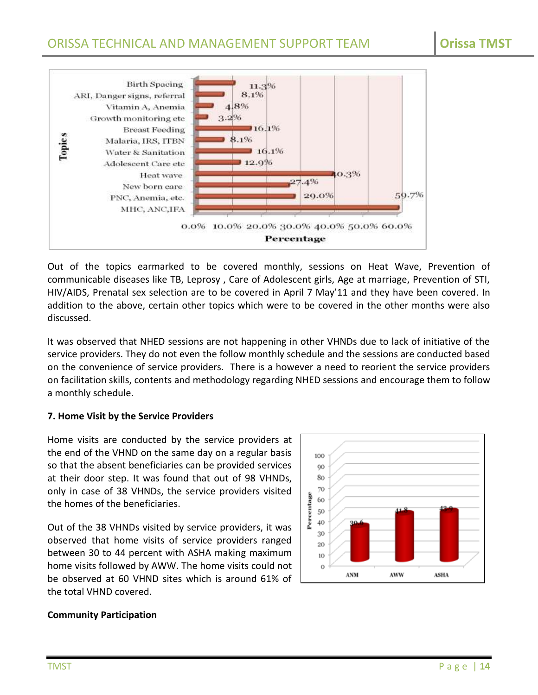

Out of the topics earmarked to be covered monthly, sessions on Heat Wave, Prevention of communicable diseases like TB, Leprosy , Care of Adolescent girls, Age at marriage, Prevention of STI, HIV/AIDS, Prenatal sex selection are to be covered in April 7 May'11 and they have been covered. In addition to the above, certain other topics which were to be covered in the other months were also discussed.

It was observed that NHED sessions are not happening in other VHNDs due to lack of initiative of the service providers. They do not even the follow monthly schedule and the sessions are conducted based on the convenience of service providers. There is a however a need to reorient the service providers on facilitation skills, contents and methodology regarding NHED sessions and encourage them to follow a monthly schedule.

# **7. Home Visit by the Service Providers**

Home visits are conducted by the service providers at the end of the VHND on the same day on a regular basis so that the absent beneficiaries can be provided services at their door step. It was found that out of 98 VHNDs, only in case of 38 VHNDs, the service providers visited the homes of the beneficiaries.

Out of the 38 VHNDs visited by service providers, it was observed that home visits of service providers ranged between 30 to 44 percent with ASHA making maximum home visits followed by AWW. The home visits could not be observed at 60 VHND sites which is around 61% of the total VHND covered.



# **Community Participation**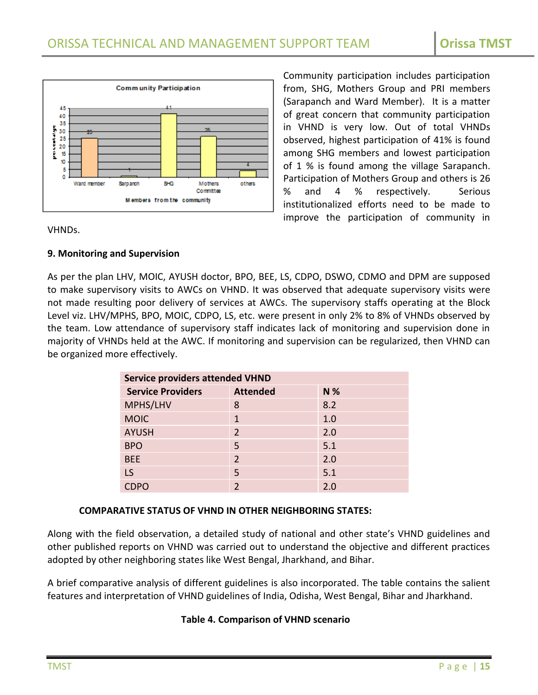

Community participation includes participation from, SHG, Mothers Group and PRI members (Sarapanch and Ward Member). It is a matter of great concern that community participation in VHND is very low. Out of total VHNDs observed, highest participation of 41% is found among SHG members and lowest participation of 1 % is found among the village Sarapanch. Participation of Mothers Group and others is 26 % and 4 % respectively. Serious institutionalized efforts need to be made to improve the participation of community in

#### VHNDs.

# **9. Monitoring and Supervision**

As per the plan LHV, MOIC, AYUSH doctor, BPO, BEE, LS, CDPO, DSWO, CDMO and DPM are supposed to make supervisory visits to AWCs on VHND. It was observed that adequate supervisory visits were not made resulting poor delivery of services at AWCs. The supervisory staffs operating at the Block Level viz. LHV/MPHS, BPO, MOIC, CDPO, LS, etc. were present in only 2% to 8% of VHNDs observed by the team. Low attendance of supervisory staff indicates lack of monitoring and supervision done in majority of VHNDs held at the AWC. If monitoring and supervision can be regularized, then VHND can be organized more effectively.

| <b>Service providers attended VHND</b> |                 |     |  |  |
|----------------------------------------|-----------------|-----|--|--|
| <b>Service Providers</b>               | <b>Attended</b> | N % |  |  |
| MPHS/LHV                               | 8               | 8.2 |  |  |
| <b>MOIC</b>                            | $\mathbf 1$     | 1.0 |  |  |
| <b>AYUSH</b>                           | $\overline{2}$  | 2.0 |  |  |
| <b>BPO</b>                             | 5               | 5.1 |  |  |
| <b>BEE</b>                             | 2               | 2.0 |  |  |
| LS                                     | 5               | 5.1 |  |  |
|                                        | $\mathcal{P}$   | 2.0 |  |  |

# **COMPARATIVE STATUS OF VHND IN OTHER NEIGHBORING STATES:**

Along with the field observation, a detailed study of national and other state's VHND guidelines and other published reports on VHND was carried out to understand the objective and different practices adopted by other neighboring states like West Bengal, Jharkhand, and Bihar.

A brief comparative analysis of different guidelines is also incorporated. The table contains the salient features and interpretation of VHND guidelines of India, Odisha, West Bengal, Bihar and Jharkhand.

# **Table 4. Comparison of VHND scenario**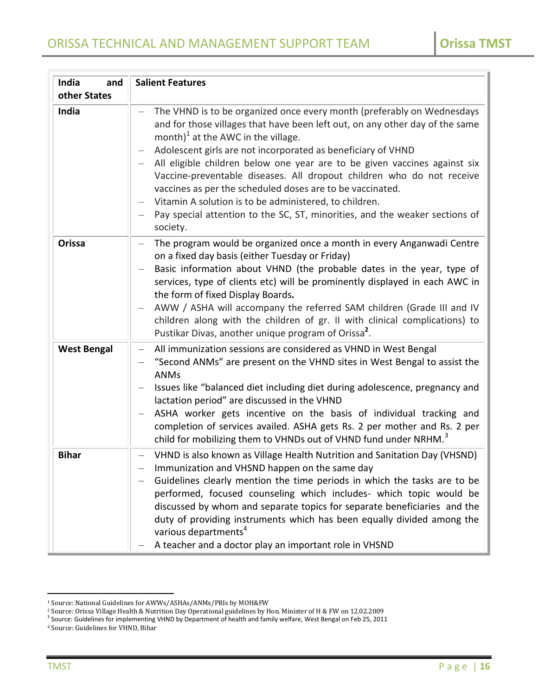| India<br>and       | <b>Salient Features</b>                                                                                                                                                                                                                                                                                                                                                                                                                                                                                                                                                                                                                                                |
|--------------------|------------------------------------------------------------------------------------------------------------------------------------------------------------------------------------------------------------------------------------------------------------------------------------------------------------------------------------------------------------------------------------------------------------------------------------------------------------------------------------------------------------------------------------------------------------------------------------------------------------------------------------------------------------------------|
| other States       |                                                                                                                                                                                                                                                                                                                                                                                                                                                                                                                                                                                                                                                                        |
| India              | The VHND is to be organized once every month (preferably on Wednesdays<br>and for those villages that have been left out, on any other day of the same<br>month) $1$ at the AWC in the village.<br>Adolescent girls are not incorporated as beneficiary of VHND<br>$\qquad \qquad -$<br>All eligible children below one year are to be given vaccines against six<br>Vaccine-preventable diseases. All dropout children who do not receive<br>vaccines as per the scheduled doses are to be vaccinated.<br>Vitamin A solution is to be administered, to children.<br>—<br>Pay special attention to the SC, ST, minorities, and the weaker sections of<br>—<br>society. |
| Orissa             | The program would be organized once a month in every Anganwadi Centre<br>—<br>on a fixed day basis (either Tuesday or Friday)<br>Basic information about VHND (the probable dates in the year, type of<br>services, type of clients etc) will be prominently displayed in each AWC in<br>the form of fixed Display Boards.<br>AWW / ASHA will accompany the referred SAM children (Grade III and IV<br>—<br>children along with the children of gr. II with clinical complications) to<br>Pustikar Divas, another unique program of Orissa <sup>2</sup> .                                                                                                              |
| <b>West Bengal</b> | All immunization sessions are considered as VHND in West Bengal<br>—<br>"Second ANMs" are present on the VHND sites in West Bengal to assist the<br>$\qquad \qquad -$<br><b>ANMs</b><br>Issues like "balanced diet including diet during adolescence, pregnancy and<br>lactation period" are discussed in the VHND<br>ASHA worker gets incentive on the basis of individual tracking and<br>$\qquad \qquad -$<br>completion of services availed. ASHA gets Rs. 2 per mother and Rs. 2 per<br>child for mobilizing them to VHNDs out of VHND fund under NRHM. <sup>3</sup>                                                                                              |
| <b>Bihar</b>       | VHND is also known as Village Health Nutrition and Sanitation Day (VHSND)<br>Immunization and VHSND happen on the same day<br>Guidelines clearly mention the time periods in which the tasks are to be<br>performed, focused counseling which includes- which topic would be<br>discussed by whom and separate topics for separate beneficiaries and the<br>duty of providing instruments which has been equally divided among the<br>various departments <sup>4</sup><br>A teacher and a doctor play an important role in VHSND                                                                                                                                       |

<sup>1</sup> Source: National Guidelines for AWWs/ASHAs/ANMs/PRIs by MOH&FW

<sup>&</sup>lt;sup>2</sup> Source: Orissa Village Health & Nutrition Day Operational guidelines by Hon. Minister of H & FW on 12.02.2009<br><sup>3</sup> Source: Guidelines for implementing VHND by Department of health and family welfare, West Bengal on Feb

<sup>4</sup> Source: Guidelines for VHND, Bihar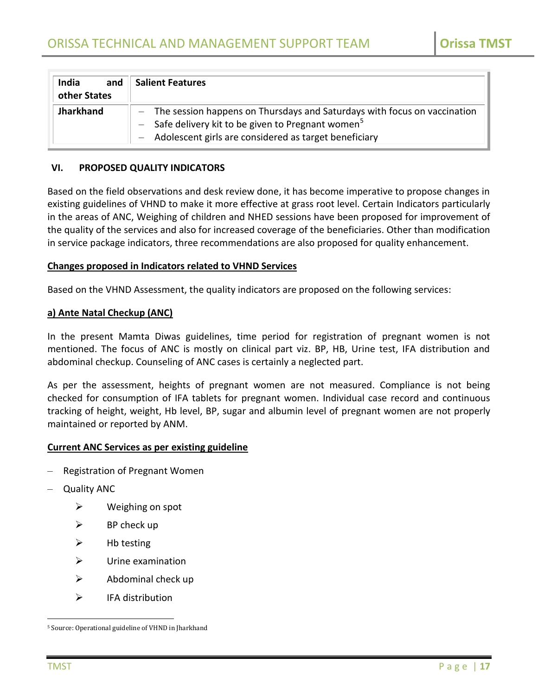| India<br>and<br>other States | <b>Salient Features</b>                                                                                                                                                                                 |
|------------------------------|---------------------------------------------------------------------------------------------------------------------------------------------------------------------------------------------------------|
| <b>Jharkhand</b>             | - The session happens on Thursdays and Saturdays with focus on vaccination<br>- Safe delivery kit to be given to Pregnant women <sup>5</sup><br>- Adolescent girls are considered as target beneficiary |

#### <span id="page-16-0"></span>**VI. PROPOSED QUALITY INDICATORS**

Based on the field observations and desk review done, it has become imperative to propose changes in existing guidelines of VHND to make it more effective at grass root level. Certain Indicators particularly in the areas of ANC, Weighing of children and NHED sessions have been proposed for improvement of the quality of the services and also for increased coverage of the beneficiaries. Other than modification in service package indicators, three recommendations are also proposed for quality enhancement.

#### **Changes proposed in Indicators related to VHND Services**

Based on the VHND Assessment, the quality indicators are proposed on the following services:

#### **a) Ante Natal Checkup (ANC)**

In the present Mamta Diwas guidelines, time period for registration of pregnant women is not mentioned. The focus of ANC is mostly on clinical part viz. BP, HB, Urine test, IFA distribution and abdominal checkup. Counseling of ANC cases is certainly a neglected part.

As per the assessment, heights of pregnant women are not measured. Compliance is not being checked for consumption of IFA tablets for pregnant women. Individual case record and continuous tracking of height, weight, Hb level, BP, sugar and albumin level of pregnant women are not properly maintained or reported by ANM.

#### **Current ANC Services as per existing guideline**

- Registration of Pregnant Women
- Quality ANC
	- $\triangleright$  Weighing on spot
	- $\triangleright$  BP check up
	- $\triangleright$  Hb testing
	- $\triangleright$  Urine examination
	- $\triangleright$  Abdominal check up
	- $\triangleright$  IFA distribution

<sup>5</sup> Source: Operational guideline of VHND in Jharkhand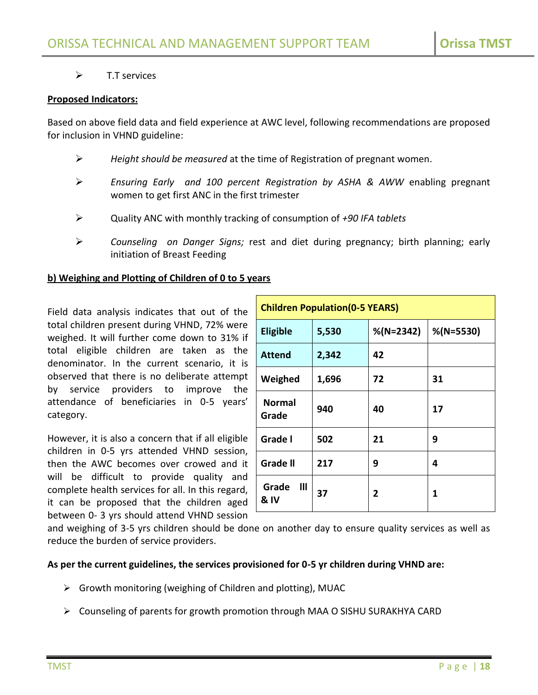# $\triangleright$  T.T services

## **Proposed Indicators:**

Based on above field data and field experience at AWC level, following recommendations are proposed for inclusion in VHND guideline:

- *Height should be measured* at the time of Registration of pregnant women.
- *Ensuring Early and 100 percent Registration by ASHA & AWW* enabling pregnant women to get first ANC in the first trimester
- Quality ANC with monthly tracking of consumption of *+90 IFA tablets*
- *Counseling on Danger Signs;* rest and diet during pregnancy; birth planning; early initiation of Breast Feeding

## **b) Weighing and Plotting of Children of 0 to 5 years**

Field data analysis indicates that out of the total children present during VHND, 72% were weighed. It will further come down to 31% if total eligible children are taken as the denominator. In the current scenario, it is observed that there is no deliberate attempt by service providers to improve the attendance of beneficiaries in 0-5 years' category.

However, it is also a concern that if all eligible children in 0-5 yrs attended VHND session, then the AWC becomes over crowed and it will be difficult to provide quality and complete health services for all. In this regard, it can be proposed that the children aged between 0- 3 yrs should attend VHND session

| <b>Children Population (0-5 YEARS)</b> |       |              |              |  |
|----------------------------------------|-------|--------------|--------------|--|
| <b>Eligible</b>                        | 5,530 | $%$ (N=2342) | $%$ (N=5530) |  |
| <b>Attend</b>                          | 2,342 | 42           |              |  |
| Weighed                                | 1,696 | 72           | 31           |  |
| <b>Normal</b><br>Grade                 | 940   | 40           | 17           |  |
| Grade I                                | 502   | 21           | 9            |  |
| <b>Grade II</b>                        | 217   | 9            | 4            |  |
| Grade<br>Ш<br>& IV                     | 37    | 2            | 1            |  |

and weighing of 3-5 yrs children should be done on another day to ensure quality services as well as reduce the burden of service providers.

# **As per the current guidelines, the services provisioned for 0-5 yr children during VHND are:**

- $\triangleright$  Growth monitoring (weighing of Children and plotting), MUAC
- Counseling of parents for growth promotion through MAA O SISHU SURAKHYA CARD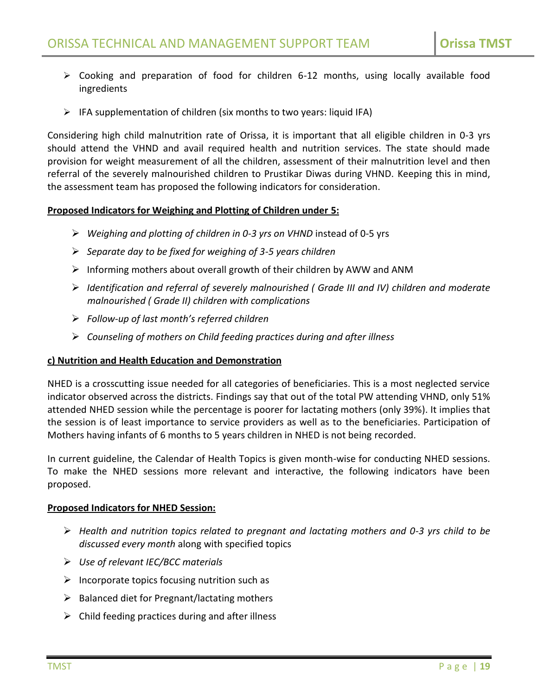- $\triangleright$  Cooking and preparation of food for children 6-12 months, using locally available food ingredients
- $\triangleright$  IFA supplementation of children (six months to two years: liquid IFA)

Considering high child malnutrition rate of Orissa, it is important that all eligible children in 0-3 yrs should attend the VHND and avail required health and nutrition services. The state should made provision for weight measurement of all the children, assessment of their malnutrition level and then referral of the severely malnourished children to Prustikar Diwas during VHND. Keeping this in mind, the assessment team has proposed the following indicators for consideration.

## **Proposed Indicators for Weighing and Plotting of Children under 5:**

- *Weighing and plotting of children in 0-3 yrs on VHND* instead of 0-5 yrs
- *Separate day to be fixed for weighing of 3-5 years children*
- $\triangleright$  Informing mothers about overall growth of their children by AWW and ANM
- *Identification and referral of severely malnourished ( Grade III and IV) children and moderate malnourished ( Grade II) children with complications*
- *Follow-up of last month's referred children*
- *Counseling of mothers on Child feeding practices during and after illness*

# **c) Nutrition and Health Education and Demonstration**

NHED is a crosscutting issue needed for all categories of beneficiaries. This is a most neglected service indicator observed across the districts. Findings say that out of the total PW attending VHND, only 51% attended NHED session while the percentage is poorer for lactating mothers (only 39%). It implies that the session is of least importance to service providers as well as to the beneficiaries. Participation of Mothers having infants of 6 months to 5 years children in NHED is not being recorded.

In current guideline, the Calendar of Health Topics is given month-wise for conducting NHED sessions. To make the NHED sessions more relevant and interactive, the following indicators have been proposed.

# **Proposed Indicators for NHED Session:**

- *Health and nutrition topics related to pregnant and lactating mothers and 0-3 yrs child to be discussed every month* along with specified topics
- *Use of relevant IEC/BCC materials*
- $\triangleright$  Incorporate topics focusing nutrition such as
- $\triangleright$  Balanced diet for Pregnant/lactating mothers
- $\triangleright$  Child feeding practices during and after illness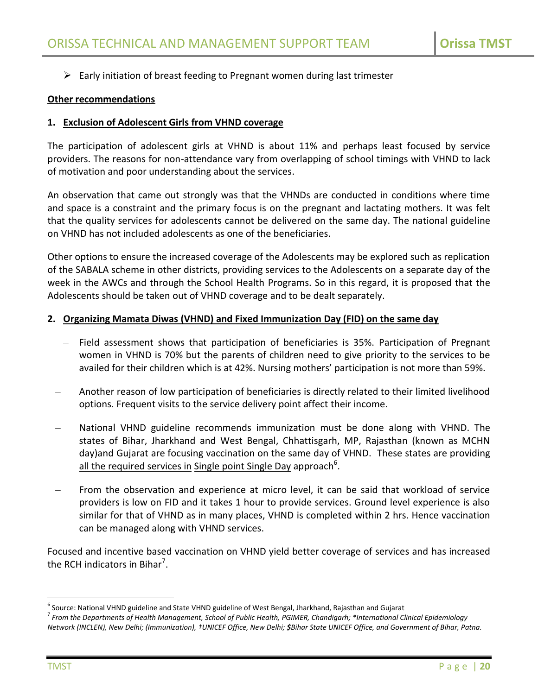$\triangleright$  Early initiation of breast feeding to Pregnant women during last trimester

## **Other recommendations**

## **1. Exclusion of Adolescent Girls from VHND coverage**

The participation of adolescent girls at VHND is about 11% and perhaps least focused by service providers. The reasons for non-attendance vary from overlapping of school timings with VHND to lack of motivation and poor understanding about the services.

An observation that came out strongly was that the VHNDs are conducted in conditions where time and space is a constraint and the primary focus is on the pregnant and lactating mothers. It was felt that the quality services for adolescents cannot be delivered on the same day. The national guideline on VHND has not included adolescents as one of the beneficiaries.

Other options to ensure the increased coverage of the Adolescents may be explored such as replication of the SABALA scheme in other districts, providing services to the Adolescents on a separate day of the week in the AWCs and through the School Health Programs. So in this regard, it is proposed that the Adolescents should be taken out of VHND coverage and to be dealt separately.

## **2. Organizing Mamata Diwas (VHND) and Fixed Immunization Day (FID) on the same day**

- Field assessment shows that participation of beneficiaries is 35%. Participation of Pregnant women in VHND is 70% but the parents of children need to give priority to the services to be availed for their children which is at 42%. Nursing mothers' participation is not more than 59%.
- Another reason of low participation of beneficiaries is directly related to their limited livelihood options. Frequent visits to the service delivery point affect their income.
- National VHND guideline recommends immunization must be done along with VHND. The states of Bihar, Jharkhand and West Bengal, Chhattisgarh, MP, Rajasthan (known as MCHN day)and Gujarat are focusing vaccination on the same day of VHND. These states are providing all the required services in Single point Single Day approach<sup>6</sup>.
- From the observation and experience at micro level, it can be said that workload of service providers is low on FID and it takes 1 hour to provide services. Ground level experience is also similar for that of VHND as in many places, VHND is completed within 2 hrs. Hence vaccination can be managed along with VHND services.

Focused and incentive based vaccination on VHND yield better coverage of services and has increased the RCH indicators in Bihar<sup>7</sup>.

<sup>&</sup>lt;sup>6</sup> Source: National VHND guideline and State VHND guideline of West Bengal, Jharkhand, Rajasthan and Gujarat

<sup>7</sup> *From the Departments of Health Management, School of Public Health, PGIMER, Chandigarh; \*International Clinical Epidemiology Network (INCLEN), New Delhi; (Immunization), †UNICEF Office, New Delhi; \$Bihar State UNICEF Office, and Government of Bihar, Patna.*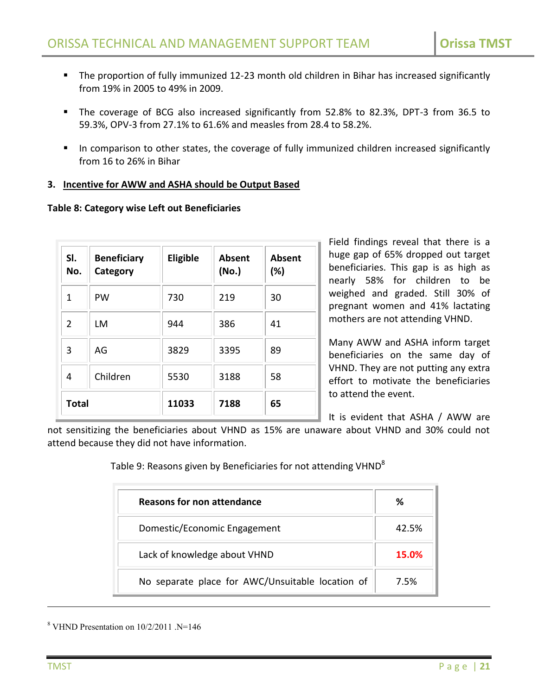- The proportion of fully immunized 12-23 month old children in Bihar has increased significantly from 19% in 2005 to 49% in 2009.
- The coverage of BCG also increased significantly from 52.8% to 82.3%, DPT-3 from 36.5 to 59.3%, OPV-3 from 27.1% to 61.6% and measles from 28.4 to 58.2%.
- In comparison to other states, the coverage of fully immunized children increased significantly from 16 to 26% in Bihar

# **3. Incentive for AWW and ASHA should be Output Based**

#### **Table 8: Category wise Left out Beneficiaries**

| SI.<br>No.   | <b>Beneficiary</b><br>Category | Eligible | <b>Absent</b><br>(No.) | <b>Absent</b><br>(%) |
|--------------|--------------------------------|----------|------------------------|----------------------|
| 1            | PW                             | 730      | 219                    | 30                   |
| 2            | LM                             | 944      | 386                    | 41                   |
| 3            | AG                             | 3829     | 3395                   | 89                   |
| 4            | Children                       | 5530     | 3188                   | 58                   |
| <b>Total</b> |                                | 11033    | 7188                   | 65                   |

Field findings reveal that there is a huge gap of 65% dropped out target beneficiaries. This gap is as high as nearly 58% for children to be weighed and graded. Still 30% of pregnant women and 41% lactating mothers are not attending VHND.

Many AWW and ASHA inform target beneficiaries on the same day of VHND. They are not putting any extra effort to motivate the beneficiaries to attend the event.

It is evident that ASHA / AWW are

not sensitizing the beneficiaries about VHND as 15% are unaware about VHND and 30% could not attend because they did not have information.

| Table 9: Reasons given by Beneficiaries for not attending VHND $^8$ |  |
|---------------------------------------------------------------------|--|
|---------------------------------------------------------------------|--|

| Reasons for non attendance                       | ℅     |
|--------------------------------------------------|-------|
| Domestic/Economic Engagement                     | 42.5% |
| Lack of knowledge about VHND                     | 15.0% |
| No separate place for AWC/Unsuitable location of | 7.5%  |

<sup>8</sup> VHND Presentation on 10/2/2011 .N=146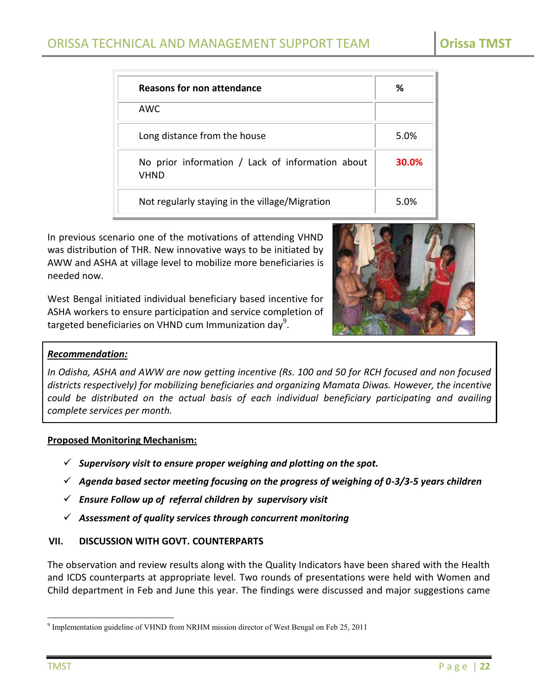| Reasons for non attendance                                      | ℅     |
|-----------------------------------------------------------------|-------|
| AWC.                                                            |       |
| Long distance from the house                                    | 5.0%  |
| No prior information / Lack of information about<br><b>VHND</b> | 30.0% |
| Not regularly staying in the village/Migration                  | 5.0%  |

In previous scenario one of the motivations of attending VHND was distribution of THR. New innovative ways to be initiated by AWW and ASHA at village level to mobilize more beneficiaries is needed now.

West Bengal initiated individual beneficiary based incentive for ASHA workers to ensure participation and service completion of targeted beneficiaries on VHND cum Immunization day<sup>9</sup>.



# *Recommendation:*

*In Odisha, ASHA and AWW are now getting incentive (Rs. 100 and 50 for RCH focused and non focused districts respectively) for mobilizing beneficiaries and organizing Mamata Diwas. However, the incentive could be distributed on the actual basis of each individual beneficiary participating and availing complete services per month.*

#### **Proposed Monitoring Mechanism:**

- $\checkmark$  Supervisory visit to ensure proper weighing and plotting on the spot.
- *Agenda based sector meeting focusing on the progress of weighing of 0-3/3-5 years children*
- *Ensure Follow up of referral children by supervisory visit*
- *Assessment of quality services through concurrent monitoring*

# <span id="page-21-0"></span>**VII. DISCUSSION WITH GOVT. COUNTERPARTS**

The observation and review results along with the Quality Indicators have been shared with the Health and ICDS counterparts at appropriate level. Two rounds of presentations were held with Women and Child department in Feb and June this year. The findings were discussed and major suggestions came

 $\overline{a}$ <sup>9</sup> Implementation guideline of VHND from NRHM mission director of West Bengal on Feb 25, 2011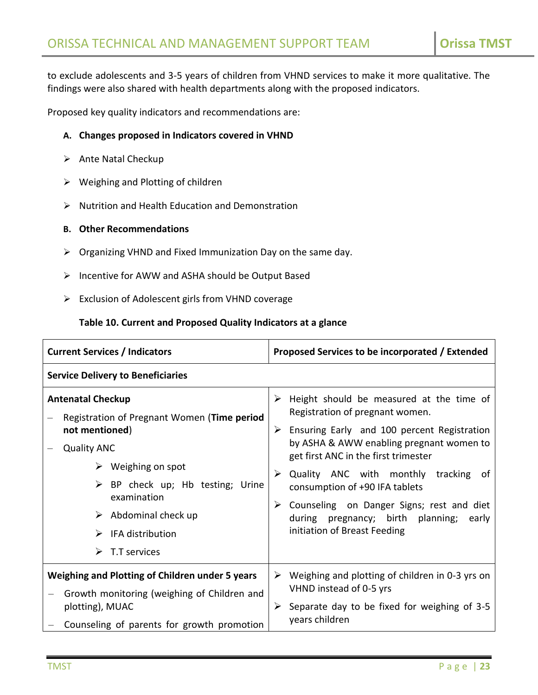to exclude adolescents and 3-5 years of children from VHND services to make it more qualitative. The findings were also shared with health departments along with the proposed indicators.

Proposed key quality indicators and recommendations are:

## **A. Changes proposed in Indicators covered in VHND**

- $\triangleright$  Ante Natal Checkup
- $\triangleright$  Weighing and Plotting of children
- $\triangleright$  Nutrition and Health Education and Demonstration

# **B. Other Recommendations**

- $\triangleright$  Organizing VHND and Fixed Immunization Day on the same day.
- $\triangleright$  Incentive for AWW and ASHA should be Output Based
- $\triangleright$  Exclusion of Adolescent girls from VHND coverage

#### **Table 10. Current and Proposed Quality Indicators at a glance**

| <b>Current Services / Indicators</b>                                                                                                                                                                                                                                                                                    | Proposed Services to be incorporated / Extended                                                                                                                                                                                                                                                                                                                                                                                   |  |
|-------------------------------------------------------------------------------------------------------------------------------------------------------------------------------------------------------------------------------------------------------------------------------------------------------------------------|-----------------------------------------------------------------------------------------------------------------------------------------------------------------------------------------------------------------------------------------------------------------------------------------------------------------------------------------------------------------------------------------------------------------------------------|--|
| <b>Service Delivery to Beneficiaries</b>                                                                                                                                                                                                                                                                                |                                                                                                                                                                                                                                                                                                                                                                                                                                   |  |
| <b>Antenatal Checkup</b><br>Registration of Pregnant Women (Time period<br>not mentioned)<br><b>Quality ANC</b><br>$\triangleright$ Weighing on spot<br>$\triangleright$ BP check up; Hb testing; Urine<br>examination<br>$\triangleright$ Abdominal check up<br>$\triangleright$ IFA distribution<br>T.T services<br>➤ | Height should be measured at the time of<br>Registration of pregnant women.<br>Ensuring Early and 100 percent Registration<br>➤<br>by ASHA & AWW enabling pregnant women to<br>get first ANC in the first trimester<br>Quality ANC with monthly tracking<br>.of<br>consumption of +90 IFA tablets<br>Counseling on Danger Signs; rest and diet<br>➤<br>during pregnancy; birth planning;<br>early<br>initiation of Breast Feeding |  |
| Weighing and Plotting of Children under 5 years<br>Growth monitoring (weighing of Children and<br>plotting), MUAC<br>Counseling of parents for growth promotion                                                                                                                                                         | Weighing and plotting of children in 0-3 yrs on<br>➤<br>VHND instead of 0-5 yrs<br>Separate day to be fixed for weighing of 3-5<br>➤<br>years children                                                                                                                                                                                                                                                                            |  |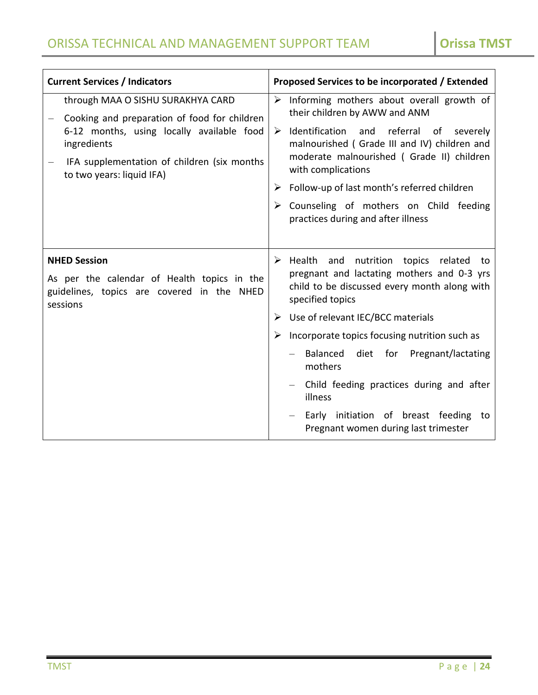| <b>Current Services / Indicators</b>                                                                                                                                                                                      | Proposed Services to be incorporated / Extended                                                                                                                                                                                                                                                                    |
|---------------------------------------------------------------------------------------------------------------------------------------------------------------------------------------------------------------------------|--------------------------------------------------------------------------------------------------------------------------------------------------------------------------------------------------------------------------------------------------------------------------------------------------------------------|
| through MAA O SISHU SURAKHYA CARD<br>Cooking and preparation of food for children<br>6-12 months, using locally available food<br>ingredients<br>IFA supplementation of children (six months<br>to two years: liquid IFA) | $\triangleright$ Informing mothers about overall growth of<br>their children by AWW and ANM<br>Identification and referral of severely<br>➤<br>malnourished (Grade III and IV) children and<br>moderate malnourished (Grade II) children<br>with complications<br>Follow-up of last month's referred children<br>➤ |
|                                                                                                                                                                                                                           | Counseling of mothers on Child feeding<br>practices during and after illness                                                                                                                                                                                                                                       |
| <b>NHED Session</b><br>As per the calendar of Health topics in the<br>guidelines, topics are covered in the NHED<br>sessions                                                                                              | $\triangleright$ Health and nutrition topics related<br>to<br>pregnant and lactating mothers and 0-3 yrs<br>child to be discussed every month along with<br>specified topics                                                                                                                                       |
|                                                                                                                                                                                                                           | Use of relevant IEC/BCC materials<br>➤                                                                                                                                                                                                                                                                             |
|                                                                                                                                                                                                                           | Incorporate topics focusing nutrition such as                                                                                                                                                                                                                                                                      |
|                                                                                                                                                                                                                           | diet for Pregnant/lactating<br>- Balanced<br>mothers                                                                                                                                                                                                                                                               |
|                                                                                                                                                                                                                           | Child feeding practices during and after<br>illness                                                                                                                                                                                                                                                                |
|                                                                                                                                                                                                                           | Early initiation of breast feeding to<br>Pregnant women during last trimester                                                                                                                                                                                                                                      |